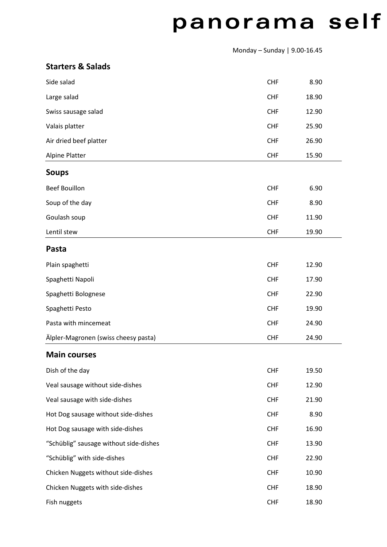## panorama self

Monday – Sunday | 9.00-16.45

| <b>Starters &amp; Salads</b> |  |  |  |
|------------------------------|--|--|--|
|------------------------------|--|--|--|

| Side salad                             | <b>CHF</b> | 8.90  |  |
|----------------------------------------|------------|-------|--|
| Large salad                            | <b>CHF</b> | 18.90 |  |
| Swiss sausage salad                    | <b>CHF</b> | 12.90 |  |
| Valais platter                         | <b>CHF</b> | 25.90 |  |
| Air dried beef platter                 | <b>CHF</b> | 26.90 |  |
| Alpine Platter                         | <b>CHF</b> | 15.90 |  |
| <b>Soups</b>                           |            |       |  |
| <b>Beef Bouillon</b>                   | <b>CHF</b> | 6.90  |  |
| Soup of the day                        | <b>CHF</b> | 8.90  |  |
| Goulash soup                           | <b>CHF</b> | 11.90 |  |
| Lentil stew                            | <b>CHF</b> | 19.90 |  |
| Pasta                                  |            |       |  |
| Plain spaghetti                        | <b>CHF</b> | 12.90 |  |
| Spaghetti Napoli                       | <b>CHF</b> | 17.90 |  |
| Spaghetti Bolognese                    | <b>CHF</b> | 22.90 |  |
| Spaghetti Pesto                        | <b>CHF</b> | 19.90 |  |
| Pasta with mincemeat                   | <b>CHF</b> | 24.90 |  |
| Älpler-Magronen (swiss cheesy pasta)   | <b>CHF</b> | 24.90 |  |
| <b>Main courses</b>                    |            |       |  |
| Dish of the day                        | <b>CHF</b> | 19.50 |  |
| Veal sausage without side-dishes       | <b>CHF</b> | 12.90 |  |
| Veal sausage with side-dishes          | <b>CHF</b> | 21.90 |  |
| Hot Dog sausage without side-dishes    | <b>CHF</b> | 8.90  |  |
| Hot Dog sausage with side-dishes       | <b>CHF</b> | 16.90 |  |
| "Schüblig" sausage without side-dishes | <b>CHF</b> | 13.90 |  |
| "Schüblig" with side-dishes            | <b>CHF</b> | 22.90 |  |
| Chicken Nuggets without side-dishes    | <b>CHF</b> | 10.90 |  |
| Chicken Nuggets with side-dishes       | <b>CHF</b> | 18.90 |  |
| Fish nuggets                           | <b>CHF</b> | 18.90 |  |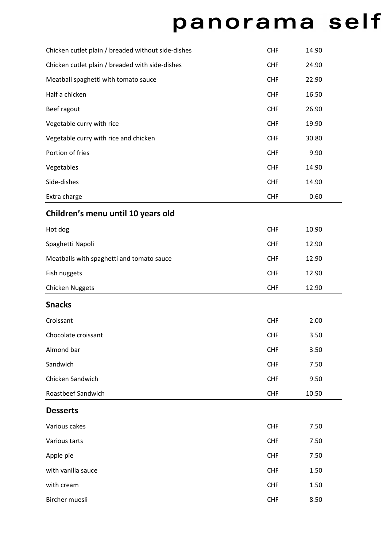## panorama self

| Chicken cutlet plain / breaded without side-dishes | <b>CHF</b> | 14.90 |  |
|----------------------------------------------------|------------|-------|--|
| Chicken cutlet plain / breaded with side-dishes    | <b>CHF</b> | 24.90 |  |
| Meatball spaghetti with tomato sauce               | <b>CHF</b> | 22.90 |  |
| Half a chicken                                     | <b>CHF</b> | 16.50 |  |
| Beef ragout                                        | <b>CHF</b> | 26.90 |  |
| Vegetable curry with rice                          | <b>CHF</b> | 19.90 |  |
| Vegetable curry with rice and chicken              | <b>CHF</b> | 30.80 |  |
| Portion of fries                                   | <b>CHF</b> | 9.90  |  |
| Vegetables                                         | <b>CHF</b> | 14.90 |  |
| Side-dishes                                        | <b>CHF</b> | 14.90 |  |
| Extra charge                                       | <b>CHF</b> | 0.60  |  |
| Children's menu until 10 years old                 |            |       |  |
| Hot dog                                            | <b>CHF</b> | 10.90 |  |
| Spaghetti Napoli                                   | <b>CHF</b> | 12.90 |  |
| Meatballs with spaghetti and tomato sauce          | <b>CHF</b> | 12.90 |  |
| Fish nuggets                                       | <b>CHF</b> | 12.90 |  |
| <b>Chicken Nuggets</b>                             | <b>CHF</b> | 12.90 |  |
| <b>Snacks</b>                                      |            |       |  |
| Croissant                                          | <b>CHF</b> | 2.00  |  |
| Chocolate croissant                                | <b>CHF</b> | 3.50  |  |
| Almond bar                                         | <b>CHF</b> | 3.50  |  |
| Sandwich                                           | <b>CHF</b> | 7.50  |  |
| Chicken Sandwich                                   | <b>CHF</b> | 9.50  |  |
| Roastbeef Sandwich                                 | <b>CHF</b> | 10.50 |  |
| <b>Desserts</b>                                    |            |       |  |
| Various cakes                                      | <b>CHF</b> | 7.50  |  |
| Various tarts                                      | <b>CHF</b> | 7.50  |  |
| Apple pie                                          | <b>CHF</b> | 7.50  |  |
| with vanilla sauce                                 | <b>CHF</b> | 1.50  |  |
| with cream                                         | <b>CHF</b> | 1.50  |  |
| Bircher muesli                                     | <b>CHF</b> | 8.50  |  |